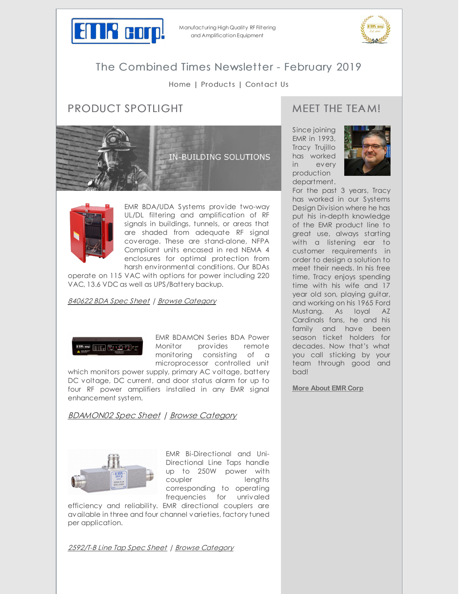

Manufacturing High Quality RF Filtering and Amplification Equipment



# The Combined Times Newsletter - February 2019

### [Home](http://emrcorp.com) | [Products](http://www.emrcorp.com/) | [Contact](http://www.emrcorp.com/contact) Us

# PRODUCT SPOTLIGHT





EMR BDA/UDA Systems provide two-way UL/DL filtering and amplification of RF signals in buildings, tunnels, or areas that are shaded from adequate RF signal coverage. These are stand-alone, NFPA Compliant units encased in red NEMA 4 enclosures for optimal protection from harsh environmental conditions. Our BDAs

operate on 115 VAC with options for power including 220 VAC, 13.6 VDC as well as UPS/Battery backup.

#### [840622](http://www.emrcorp.com/doc/uploads/96198eeae208d3e0e09999b9a6302928850622.pdf) BDA Spec Sheet | Browse [Category](http://www.emrcorp.com/cart/categories?category=13&name=In-Building_Systems)

<u>mor | | | | | | | | | |</u>

EMR BDAMON Series BDA Power Monitor provides remote monitoring consisting of a microprocessor controlled unit

which monitors power supply, primary AC voltage, battery DC voltage, DC current, and door status alarm for up to four RF power amplifiers installed in any EMR signal enhancement system.

[BDAMON02](http://www.emrcorp.com/doc/uploads/f70cc26a8cffaa0da25ac91aa334ef39BDA Brochure Mointor Page_02-24-15.pdf) Spec Sheet | Browse [Category](http://www.emrcorp.com/cart/store?section=product&product=1005&name=On-Line_System_Monitor_BDAMON-2-SNMP)



EMR Bi-Directional and Uni-Directional Line Taps handle up to 250W power with coupler lengths corresponding to operating frequencies for unrivaled

efficiency and reliability. EMR directional couplers are available in three and four channel varieties, factory tuned per application.

[2592/T-B](http://www.emrcorp.com/doc/uploads/92c66913e9b2cef1a282904868e546042592_T-B.pdf) Line Tap Spec Sheet | Browse [Category](http://www.emrcorp.com/cart/categories?category=13&name=In-Building_Systems)

### MEET THE TEA M!

Since joining EMR in 1993, Tracy Trujillo has worked in every production department.



For the past 3 years, Tracy has worked in our Systems Design Division where he has put his in-depth knowledge of the EMR product line to great use, always starting with a listening ear to customer requirements in order to design a solution to meet their needs. In his free time, Tracy enjoys spending time with his wife and 17 year old son, playing guitar, and working on his 1965 Ford Mustang. As loyal AZ Cardinals fans, he and his family and have been season ticket holders for decades. Now that's what you call sticking by your team through good and bad!

**More [About](http://www.emrcorp.com/about-us) EMR Corp**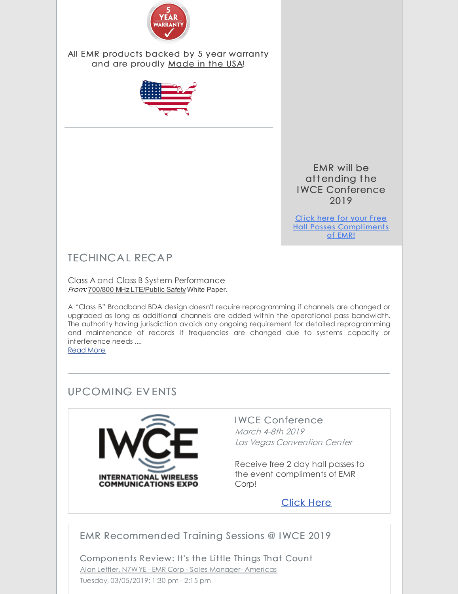

All EMR products backed by 5 year warranty and are proudly Made in the USA!



EMR will be attending the IWCE Conference 2019

Click here for your Free Hall Passes Compl[iments](http://www.emrcorp.com/uploads/56c7926546482e684e62b2444a78a96cIWCE Guest Pass_2019.pdf) of EMR!

# TECHINCA L RECA P

Class A and Class B System Performance From: 700/800 MHz LTE/Public Safety White Paper.

A "Class B" Broadband BDA design doesn't require reprogramming if channels are changed or upgraded as long as additional channels are added within the operational pass bandwidth. The authority having jurisdiction avoids any ongoing requirement for detailed reprogramming and maintenance of records if frequencies are changed due to systems capacity or interference needs ....

[Read](http://www.emrcorp.com/techinfo) More

## UPCOMING EV ENTS



### IWCE Conference March 4-8th 2019

Las Vegas Convention Center

Receive free 2 day hall passes to the event compliments of EMR Corp!

[Click](http://www.emrcorp.com/uploads/56c7926546482e684e62b2444a78a96cIWCE Guest Pass_2019.pdf) Here

## EMR Recommended Training Sessions @ IWCE 2019

Components Review: It's the Little Things That Count Alan Leffler, N7WYE - EMR Corp - Sales Manager- Americas Tuesday, 03/05/2019: 1:30 pm - 2:15 pm